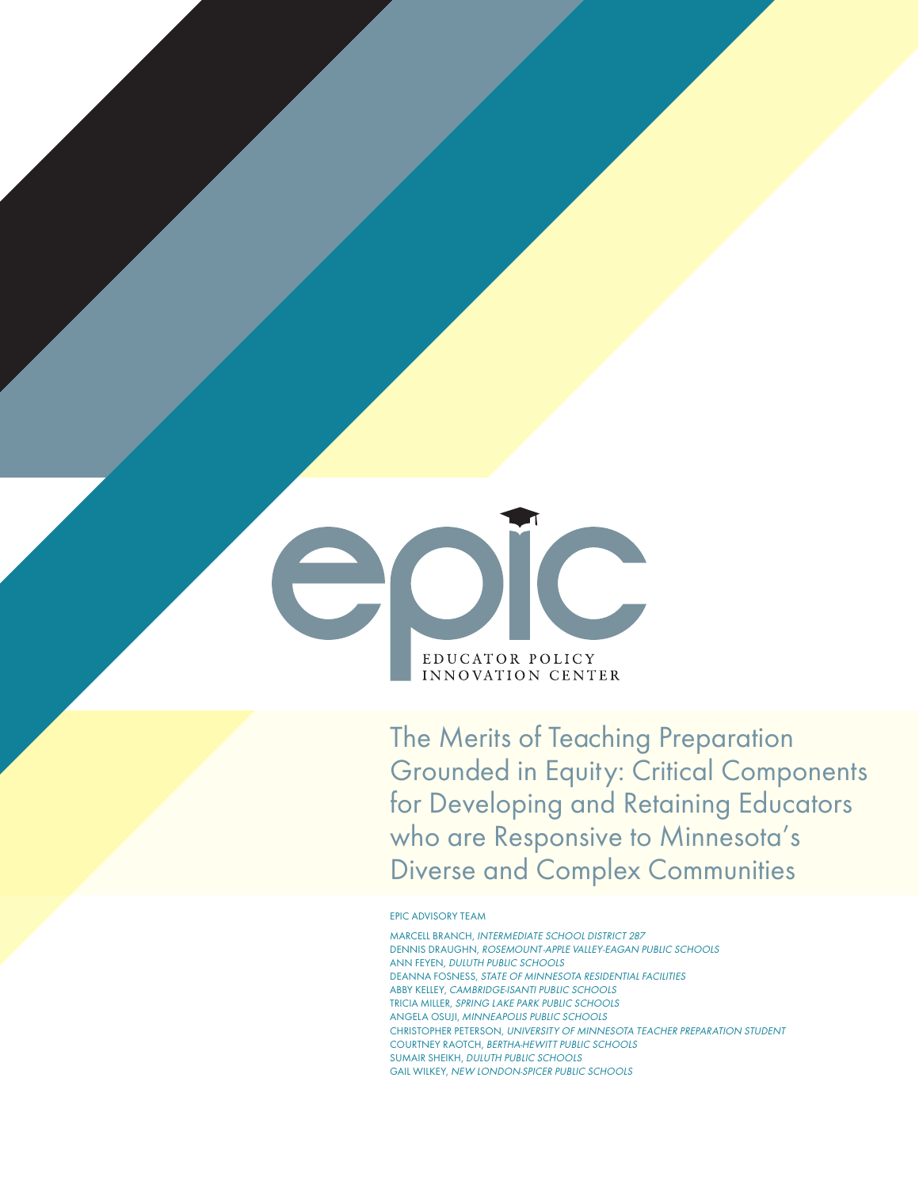

The Merits of Teaching Preparation Grounded in Equity: Critical Components for Developing and Retaining Educators who are Responsive to Minnesota's Diverse and Complex Communities

#### EPIC ADVISORY TEAM

MARCELL BRANCH, INTERMEDIATE SCHOOL DISTRICT 287 DENNIS DRAUGHN, ROSEMOUNT-APPLE VALLEY-EAGAN PUBLIC SCHOOLS ANN FEYEN, DULUTH PUBLIC SCHOOLS DEANNA FOSNESS, STATE OF MINNESOTA RESIDENTIAL FACILITIES ABBY KELLEY, CAMBRIDGE-ISANTI PUBLIC SCHOOLS TRICIA MILLER, SPRING LAKE PARK PUBLIC SCHOOLS ANGELA OSUJI, MINNEAPOLIS PUBLIC SCHOOLS CHRISTOPHER PETERSON, UNIVERSITY OF MINNESOTA TEACHER PREPARATION STUDENT COURTNEY RAOTCH, BERTHA-HEWITT PUBLIC SCHOOLS SUMAIR SHEIKH, DULUTH PUBLIC SCHOOLS GAIL WILKEY, NEW LONDON-SPICER PUBLIC SCHOOLS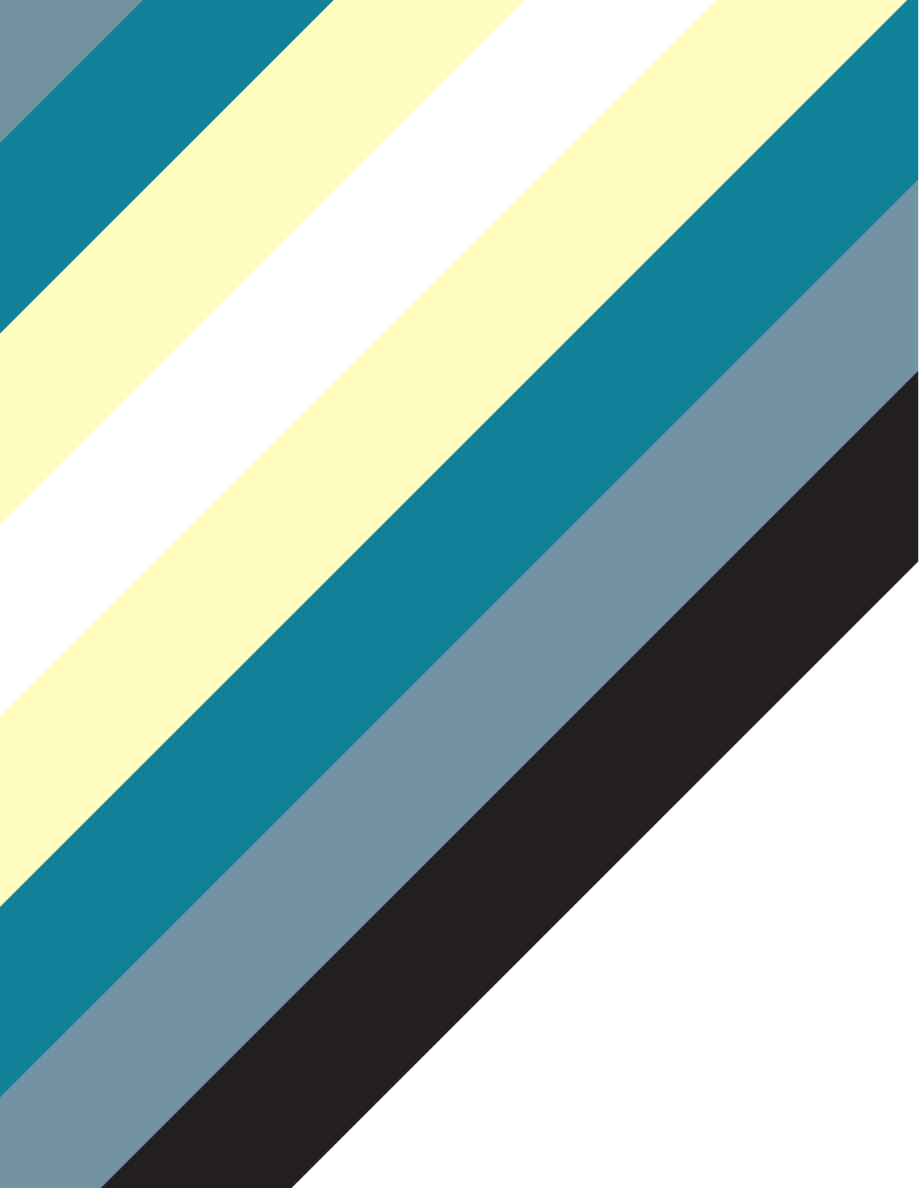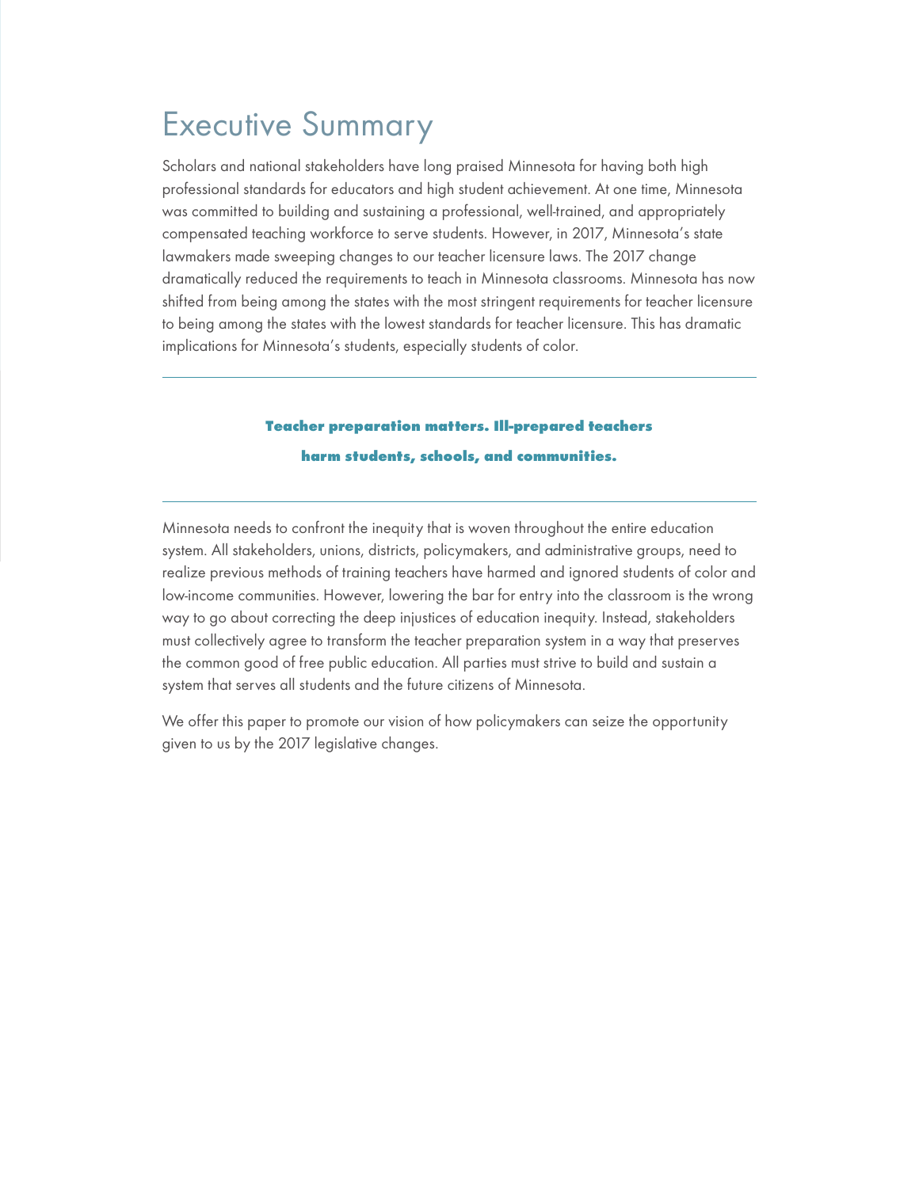# Executive Summary

Scholars and national stakeholders have long praised Minnesota for having both high professional standards for educators and high student achievement. At one time, Minnesota was committed to building and sustaining a professional, well-trained, and appropriately compensated teaching workforce to serve students. However, in 2017, Minnesota's state lawmakers made sweeping changes to our teacher licensure laws. The 2017 change dramatically reduced the requirements to teach in Minnesota classrooms. Minnesota has now shifted from being among the states with the most stringent requirements for teacher licensure to being among the states with the lowest standards for teacher licensure. This has dramatic implications for Minnesota's students, especially students of color.

# **Teacher preparation matters. Ill-prepared teachers**

**harm students, schools, and communities.** 

Minnesota needs to confront the inequity that is woven throughout the entire education system. All stakeholders, unions, districts, policymakers, and administrative groups, need to realize previous methods of training teachers have harmed and ignored students of color and low-income communities. However, lowering the bar for entry into the classroom is the wrong way to go about correcting the deep injustices of education inequity. Instead, stakeholders must collectively agree to transform the teacher preparation system in a way that preserves the common good of free public education. All parties must strive to build and sustain a system that serves all students and the future citizens of Minnesota.

We offer this paper to promote our vision of how policymakers can seize the opportunity given to us by the 2017 legislative changes.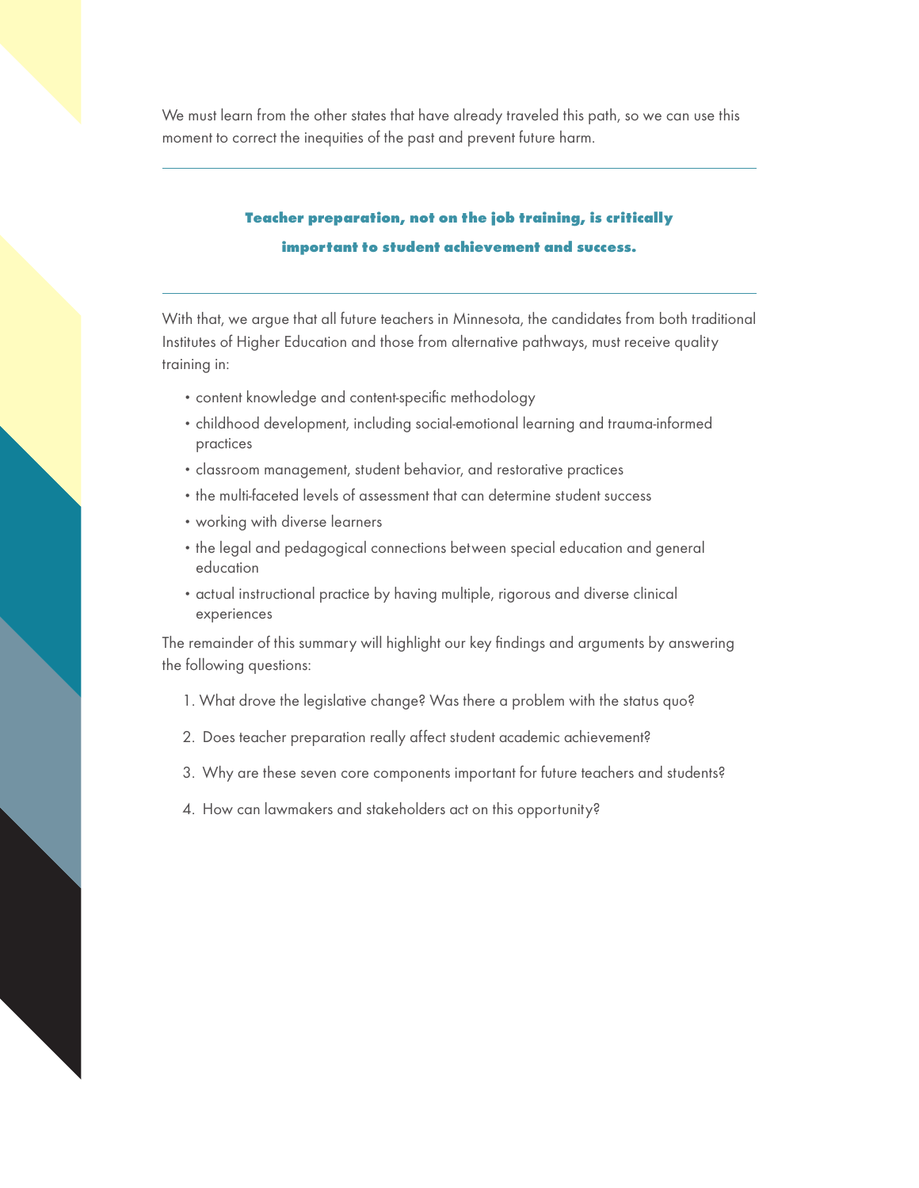We must learn from the other states that have already traveled this path, so we can use this moment to correct the inequities of the past and prevent future harm.

# **Teacher preparation, not on the job training, is critically important to student achievement and success.**

With that, we argue that all future teachers in Minnesota, the candidates from both traditional Institutes of Higher Education and those from alternative pathways, must receive quality training in:

- •content knowledge and content-specific methodology
- •childhood development, including social-emotional learning and trauma-informed practices
- •classroom management, student behavior, and restorative practices
- •the multi-faceted levels of assessment that can determine student success
- working with diverse learners
- the legal and pedagogical connections between special education and general education
- •actual instructional practice by having multiple, rigorous and diverse clinical experiences

The remainder of this summary will highlight our key findings and arguments by answering the following questions:

- 1. What drove the legislative change? Was there a problem with the status quo?
- 2. Does teacher preparation really affect student academic achievement?
- 3. Why are these seven core components important for future teachers and students?
- 4. How can lawmakers and stakeholders act on this opportunity?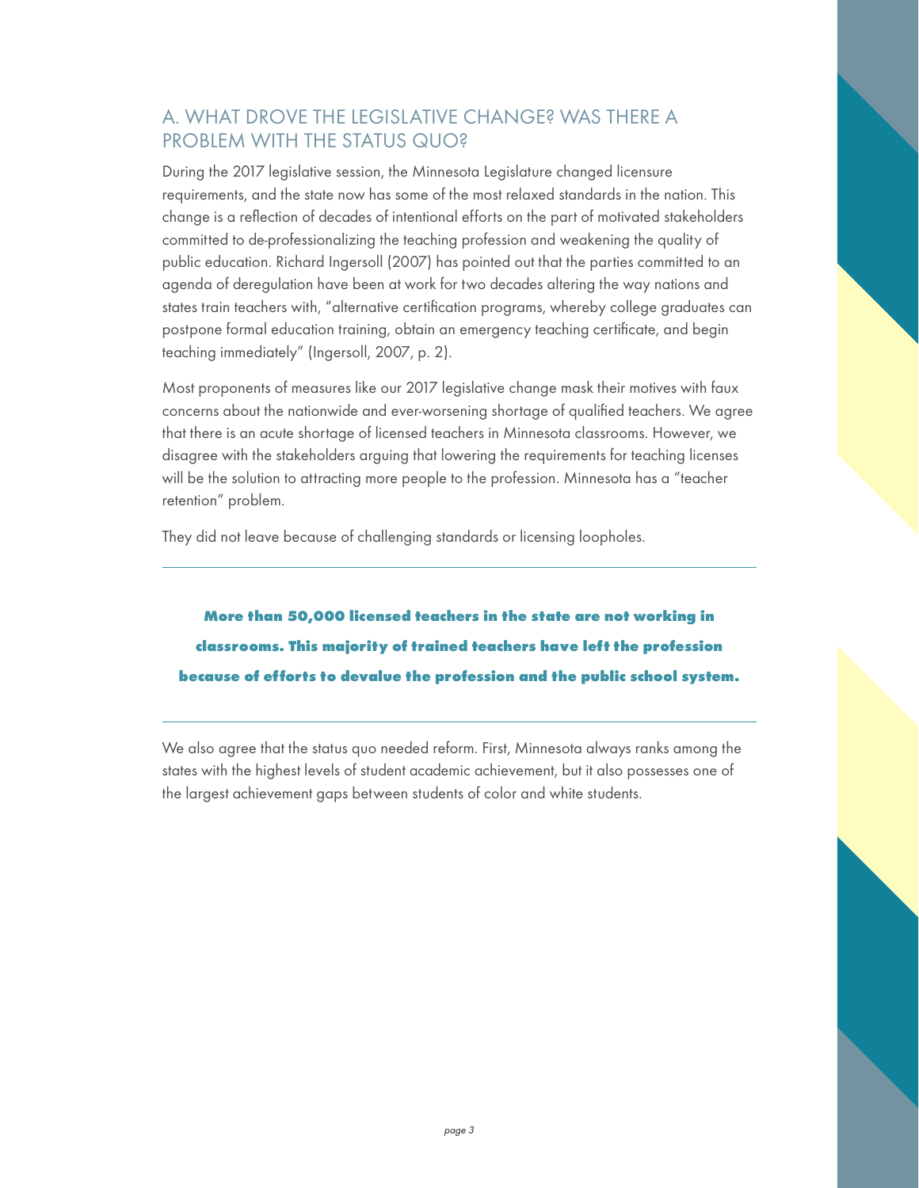# A. WHAT DROVE THE LEGISLATIVE CHANGE? WAS THERE A PROBLEM WITH THE STATUS QUO?

During the 2017 legislative session, the Minnesota Legislature changed licensure requirements, and the state now has some of the most relaxed standards in the nation. This change is a reflection of decades of intentional efforts on the part of motivated stakeholders committed to de-professionalizing the teaching profession and weakening the quality of public education. Richard Ingersoll (2007) has pointed out that the parties committed to an agenda of deregulation have been at work for two decades altering the way nations and states train teachers with, "alternative certification programs, whereby college graduates can postpone formal education training, obtain an emergency teaching certificate, and begin teaching immediately" (Ingersoll, 2007, p. 2).

Most proponents of measures like our 2017 legislative change mask their motives with faux concerns about the nationwide and ever-worsening shortage of qualified teachers. We agree that there is an acute shortage of licensed teachers in Minnesota classrooms. However, we disagree with the stakeholders arguing that lowering the requirements for teaching licenses will be the solution to attracting more people to the profession. Minnesota has a "teacher retention" problem.

They did not leave because of challenging standards or licensing loopholes.

# **More than 50,000 licensed teachers in the state are not working in classrooms. This majority of trained teachers have left the profession because of efforts to devalue the profession and the public school system.**

We also agree that the status quo needed reform. First, Minnesota always ranks among the states with the highest levels of student academic achievement, but it also possesses one of the largest achievement gaps between students of color and white students.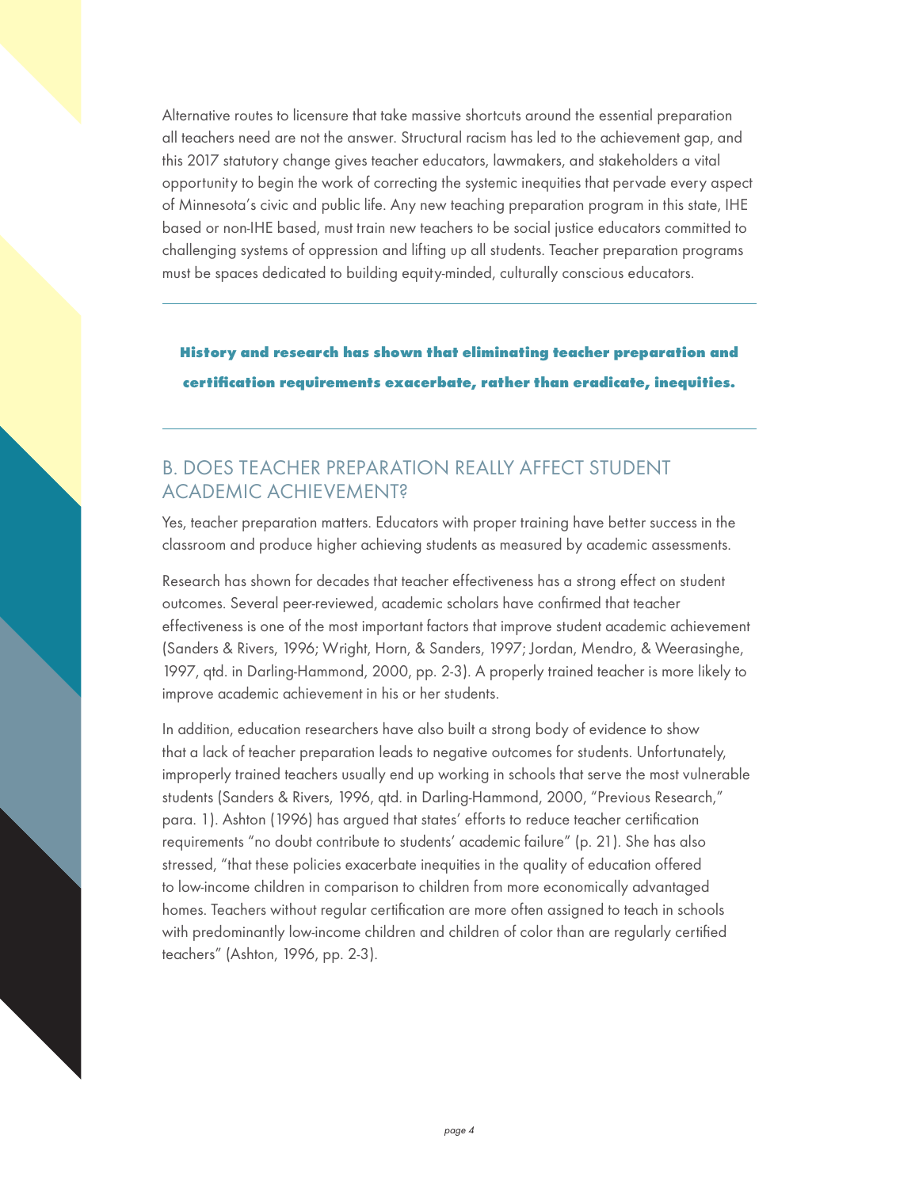Alternative routes to licensure that take massive shortcuts around the essential preparation all teachers need are not the answer. Structural racism has led to the achievement gap, and this 2017 statutory change gives teacher educators, lawmakers, and stakeholders a vital opportunity to begin the work of correcting the systemic inequities that pervade every aspect of Minnesota's civic and public life. Any new teaching preparation program in this state, IHE based or non-IHE based, must train new teachers to be social justice educators committed to challenging systems of oppression and lifting up all students. Teacher preparation programs must be spaces dedicated to building equity-minded, culturally conscious educators.

**History and research has shown that eliminating teacher preparation and certification requirements exacerbate, rather than eradicate, inequities.** 

## B. DOES TEACHER PREPARATION REALLY AFFECT STUDENT ACADEMIC ACHIEVEMENT?

Yes, teacher preparation matters. Educators with proper training have better success in the classroom and produce higher achieving students as measured by academic assessments.

Research has shown for decades that teacher effectiveness has a strong effect on student outcomes. Several peer-reviewed, academic scholars have confirmed that teacher effectiveness is one of the most important factors that improve student academic achievement (Sanders & Rivers, 1996; Wright, Horn, & Sanders, 1997; Jordan, Mendro, & Weerasinghe, 1997, qtd. in Darling-Hammond, 2000, pp. 2-3). A properly trained teacher is more likely to improve academic achievement in his or her students.

In addition, education researchers have also built a strong body of evidence to show that a lack of teacher preparation leads to negative outcomes for students. Unfortunately, improperly trained teachers usually end up working in schools that serve the most vulnerable students (Sanders & Rivers, 1996, qtd. in Darling-Hammond, 2000, "Previous Research," para. 1). Ashton (1996) has argued that states' efforts to reduce teacher certification requirements "no doubt contribute to students' academic failure" (p. 21). She has also stressed, "that these policies exacerbate inequities in the quality of education offered to low-income children in comparison to children from more economically advantaged homes. Teachers without regular certification are more often assigned to teach in schools with predominantly low-income children and children of color than are regularly certified teachers" (Ashton, 1996, pp. 2-3).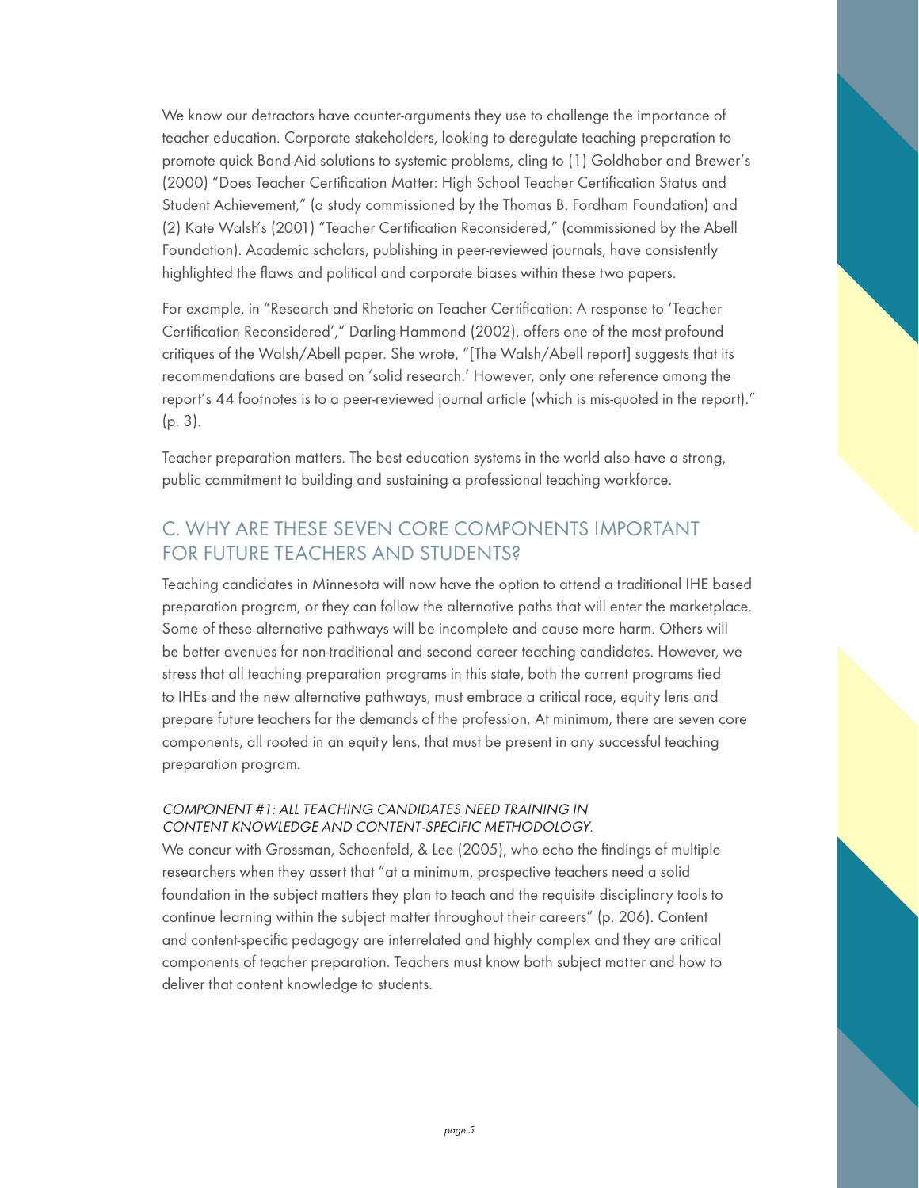We know our detractors have counter-arguments they use to challenge the importance of teacher education. Corporate stakeholders, looking to deregulate teaching preparation to promote quick Band-Aid solutions to systemic problems, cling to (1) Goldhaber and Brewer's (2000) "Does Teacher Certification Matter: High School Teacher Certification Status and Student Achievement," (a study commissioned by the Thomas B. Fordham Foundation) and (2) Kate Walsh's (2001) "Teacher Certification Reconsidered," (commissioned by the Abell Foundation). Academic scholars, publishing in peer-reviewed journals, have consistently highlighted the flaws and political and corporate biases within these two papers.

For example, in "Research and Rhetoric on Teacher Certification: A response to 'Teacher Certification Reconsidered'," Darling-Hammond (2002), offers one of the most profound critiques of the Walsh/Abell paper. She wrote, "[The Walsh/Abell report] suggests that its recommendations are based on 'solid research.' However, only one reference among the report's 44 footnotes is to a peer-reviewed journal article (which is mis-quoted in the report)." (p. 3).

Teacher preparation matters. The best education systems in the world also have a strong, public commitment to building and sustaining a professional teaching workforce.

# C. WHY ARE THESE SEVEN CORE COMPONENTS IMPORTANT FOR FUTURE TEACHERS AND STUDENTS?

Teaching candidates in Minnesota will now have the option to attend a traditional IHE based preparation program, or they can follow the alternative paths that will enter the marketplace. Some of these alternative pathways will be incomplete and cause more harm. Others will be better avenues for non-traditional and second career teaching candidates. However, we stress that all teaching preparation programs in this state, both the current programs tied to IHEs and the new alternative pathways, must embrace a critical race, equity lens and prepare future teachers for the demands of the profession. At minimum, there are seven core components, all rooted in an equity lens, that must be present in any successful teaching preparation program.

#### COMPONENT #1: ALL TEACHING CANDIDATES NEED TRAINING IN CONTENT KNOWLEDGE AND CONTENT-SPECIFIC METHODOLOGY.

We concur with Grossman, Schoenfeld, & Lee (2005), who echo the findings of multiple researchers when they assert that "at a minimum, prospective teachers need a solid foundation in the subject matters they plan to teach and the requisite disciplinary tools to continue learning within the subject matter throughout their careers" (p. 206). Content and content-specific pedagogy are interrelated and highly complex and they are critical components of teacher preparation. Teachers must know both subject matter and how to deliver that content knowledge to students.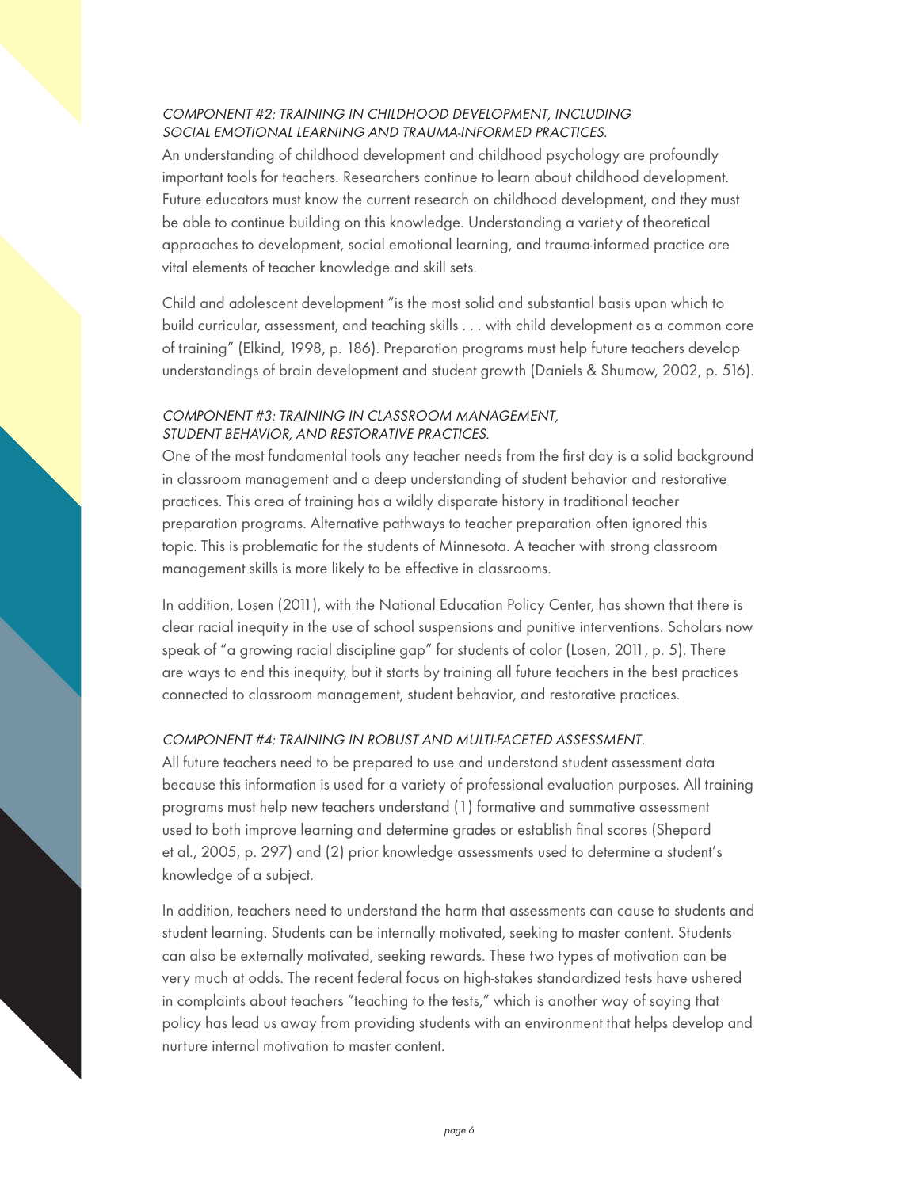#### COMPONENT #2: TRAINING IN CHILDHOOD DEVELOPMENT, INCLUDING SOCIAL EMOTIONAL LEARNING AND TRAUMA-INFORMED PRACTICES.

An understanding of childhood development and childhood psychology are profoundly important tools for teachers. Researchers continue to learn about childhood development. Future educators must know the current research on childhood development, and they must be able to continue building on this knowledge. Understanding a variety of theoretical approaches to development, social emotional learning, and trauma-informed practice are vital elements of teacher knowledge and skill sets.

Child and adolescent development "is the most solid and substantial basis upon which to build curricular, assessment, and teaching skills . . . with child development as a common core of training" (Elkind, 1998, p. 186). Preparation programs must help future teachers develop understandings of brain development and student growth (Daniels & Shumow, 2002, p. 516).

#### COMPONENT #3: TRAINING IN CLASSROOM MANAGEMENT, STUDENT BEHAVIOR, AND RESTORATIVE PRACTICES.

One of the most fundamental tools any teacher needs from the first day is a solid background in classroom management and a deep understanding of student behavior and restorative practices. This area of training has a wildly disparate history in traditional teacher preparation programs. Alternative pathways to teacher preparation often ignored this topic. This is problematic for the students of Minnesota. A teacher with strong classroom management skills is more likely to be effective in classrooms.

In addition, Losen (2011), with the National Education Policy Center, has shown that there is clear racial inequity in the use of school suspensions and punitive interventions. Scholars now speak of "a growing racial discipline gap" for students of color (Losen, 2011, p. 5). There are ways to end this inequity, but it starts by training all future teachers in the best practices connected to classroom management, student behavior, and restorative practices.

#### COMPONENT #4: TRAINING IN ROBUST AND MULTI-FACETED ASSESSMENT.

All future teachers need to be prepared to use and understand student assessment data because this information is used for a variety of professional evaluation purposes. All training programs must help new teachers understand (1) formative and summative assessment used to both improve learning and determine grades or establish final scores (Shepard et al., 2005, p. 297) and (2) prior knowledge assessments used to determine a student's knowledge of a subject.

In addition, teachers need to understand the harm that assessments can cause to students and student learning. Students can be internally motivated, seeking to master content. Students can also be externally motivated, seeking rewards. These two types of motivation can be very much at odds. The recent federal focus on high-stakes standardized tests have ushered in complaints about teachers "teaching to the tests," which is another way of saying that policy has lead us away from providing students with an environment that helps develop and nurture internal motivation to master content.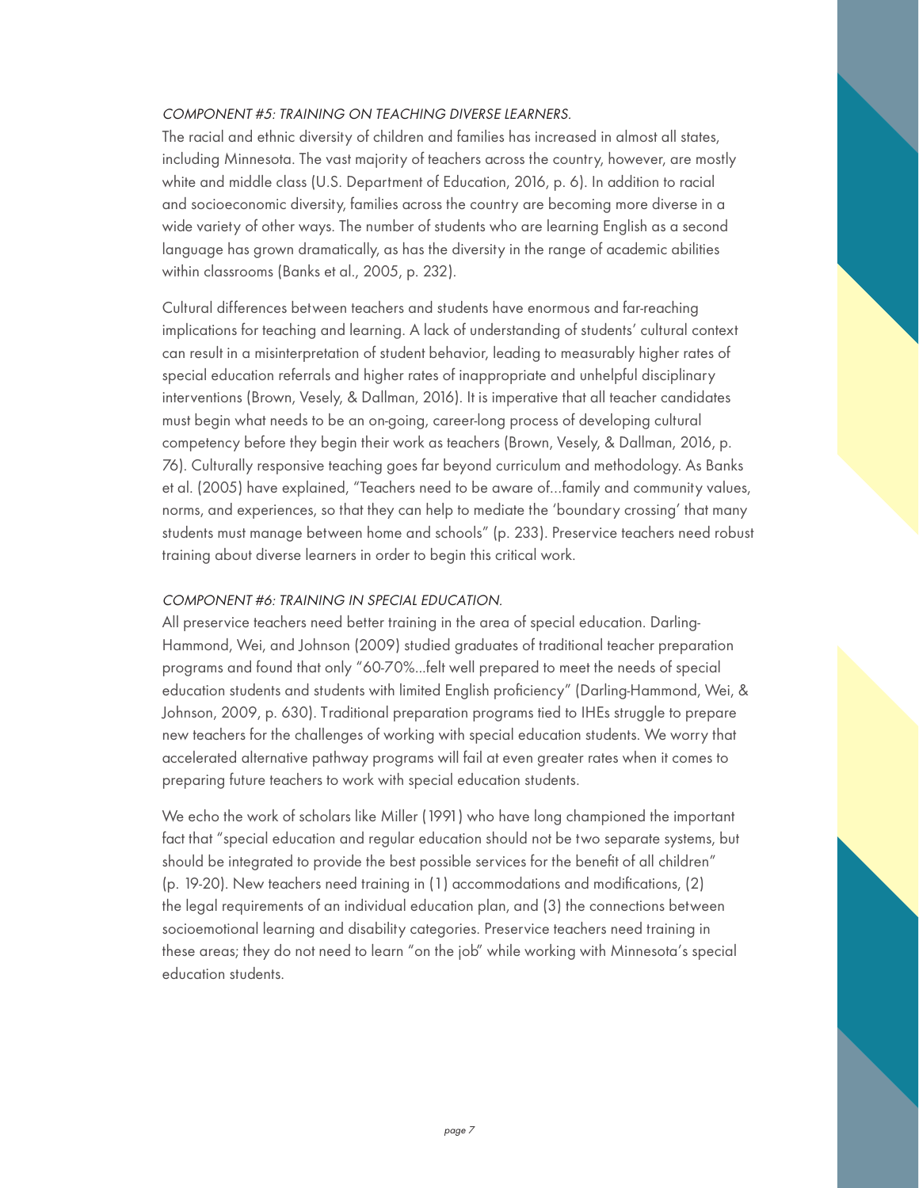#### COMPONENT #5: TRAINING ON TEACHING DIVERSE LEARNERS.

The racial and ethnic diversity of children and families has increased in almost all states, including Minnesota. The vast majority of teachers across the country, however, are mostly white and middle class (U.S. Department of Education, 2016, p. 6). In addition to racial and socioeconomic diversity, families across the country are becoming more diverse in a wide variety of other ways. The number of students who are learning English as a second language has grown dramatically, as has the diversity in the range of academic abilities within classrooms (Banks et al., 2005, p. 232).

Cultural differences between teachers and students have enormous and far-reaching implications for teaching and learning. A lack of understanding of students' cultural context can result in a misinterpretation of student behavior, leading to measurably higher rates of special education referrals and higher rates of inappropriate and unhelpful disciplinary interventions (Brown, Vesely, & Dallman, 2016). It is imperative that all teacher candidates must begin what needs to be an on-going, career-long process of developing cultural competency before they begin their work as teachers (Brown, Vesely, & Dallman, 2016, p. 76). Culturally responsive teaching goes far beyond curriculum and methodology. As Banks et al. (2005) have explained, "Teachers need to be aware of…family and community values, norms, and experiences, so that they can help to mediate the 'boundary crossing' that many students must manage between home and schools" (p. 233). Preservice teachers need robust training about diverse learners in order to begin this critical work.

#### COMPONENT #6: TRAINING IN SPECIAL EDUCATION.

All preservice teachers need better training in the area of special education. Darling-Hammond, Wei, and Johnson (2009) studied graduates of traditional teacher preparation programs and found that only "60-70%...felt well prepared to meet the needs of special education students and students with limited English proficiency" (Darling-Hammond, Wei, & Johnson, 2009, p. 630). Traditional preparation programs tied to IHEs struggle to prepare new teachers for the challenges of working with special education students. We worry that accelerated alternative pathway programs will fail at even greater rates when it comes to preparing future teachers to work with special education students.

We echo the work of scholars like Miller (1991) who have long championed the important fact that "special education and regular education should not be two separate systems, but should be integrated to provide the best possible services for the benefit of all children" (p. 19-20). New teachers need training in (1) accommodations and modifications, (2) the legal requirements of an individual education plan, and (3) the connections between socioemotional learning and disability categories. Preservice teachers need training in these areas; they do not need to learn "on the job" while working with Minnesota's special education students.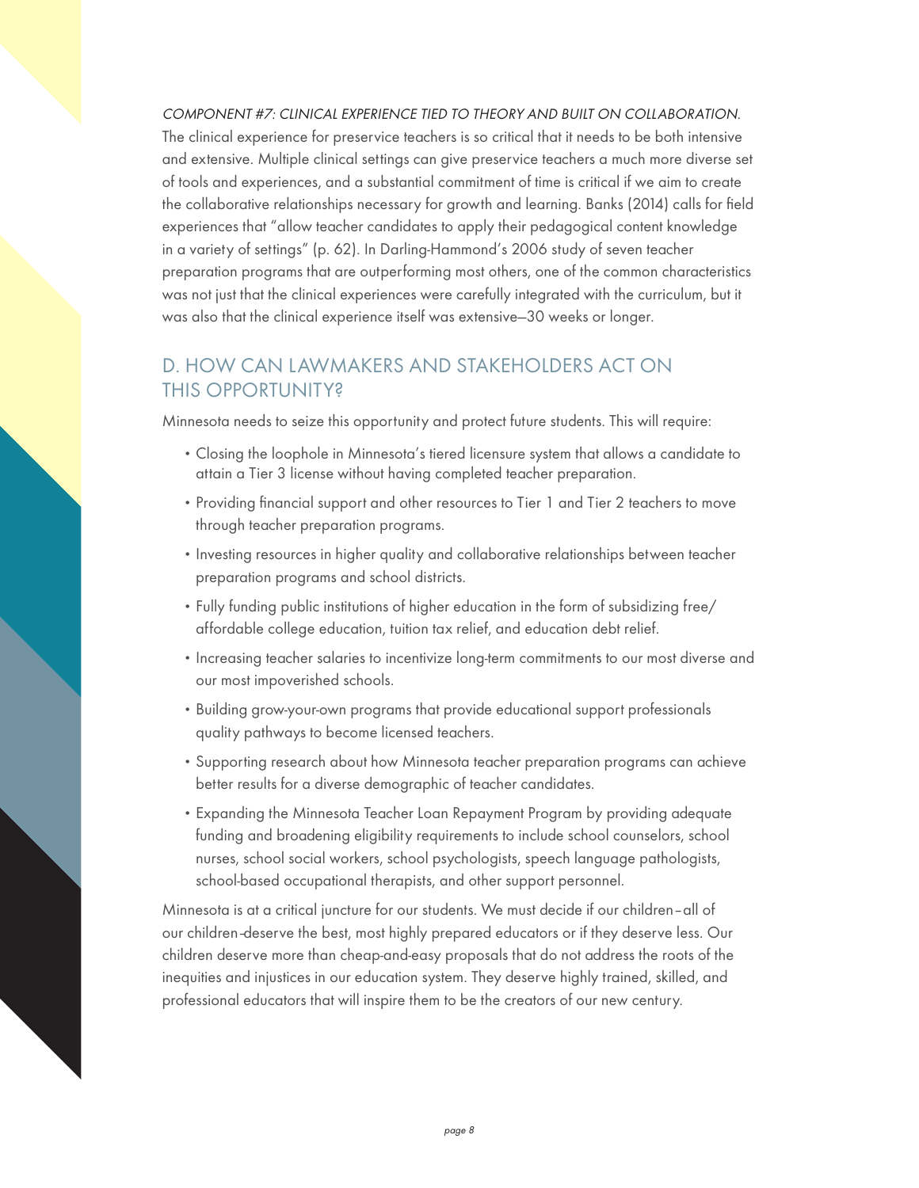#### COMPONENT #7: CLINICAL EXPERIENCE TIED TO THEORY AND BUILT ON COLLABORATION.

The clinical experience for preservice teachers is so critical that it needs to be both intensive and extensive. Multiple clinical settings can give preservice teachers a much more diverse set of tools and experiences, and a substantial commitment of time is critical if we aim to create the collaborative relationships necessary for growth and learning. Banks (2014) calls for field experiences that "allow teacher candidates to apply their pedagogical content knowledge in a variety of settings" (p. 62). In Darling-Hammond's 2006 study of seven teacher preparation programs that are outperforming most others, one of the common characteristics was not just that the clinical experiences were carefully integrated with the curriculum, but it was also that the clinical experience itself was extensive—30 weeks or longer.

### D. HOW CAN LAWMAKERS AND STAKEHOLDERS ACT ON THIS OPPORTUNITY?

Minnesota needs to seize this opportunity and protect future students. This will require:

- Closing the loophole in Minnesota's tiered licensure system that allows a candidate to attain a Tier 3 license without having completed teacher preparation.
- •Providing financial support and other resources to Tier 1 and Tier 2 teachers to move through teacher preparation programs.
- •Investing resources in higher quality and collaborative relationships between teacher preparation programs and school districts.
- •Fully funding public institutions of higher education in the form of subsidizing free/ affordable college education, tuition tax relief, and education debt relief.
- •Increasing teacher salaries to incentivize long-term commitments to our most diverse and our most impoverished schools.
- •Building grow-your-own programs that provide educational support professionals quality pathways to become licensed teachers.
- •Supporting research about how Minnesota teacher preparation programs can achieve better results for a diverse demographic of teacher candidates.
- •Expanding the Minnesota Teacher Loan Repayment Program by providing adequate funding and broadening eligibility requirements to include school counselors, school nurses, school social workers, school psychologists, speech language pathologists, school-based occupational therapists, and other support personnel.

Minnesota is at a critical juncture for our students. We must decide if our children– all of our children–deserve the best, most highly prepared educators or if they deserve less. Our children deserve more than cheap-and-easy proposals that do not address the roots of the inequities and injustices in our education system. They deserve highly trained, skilled, and professional educators that will inspire them to be the creators of our new century.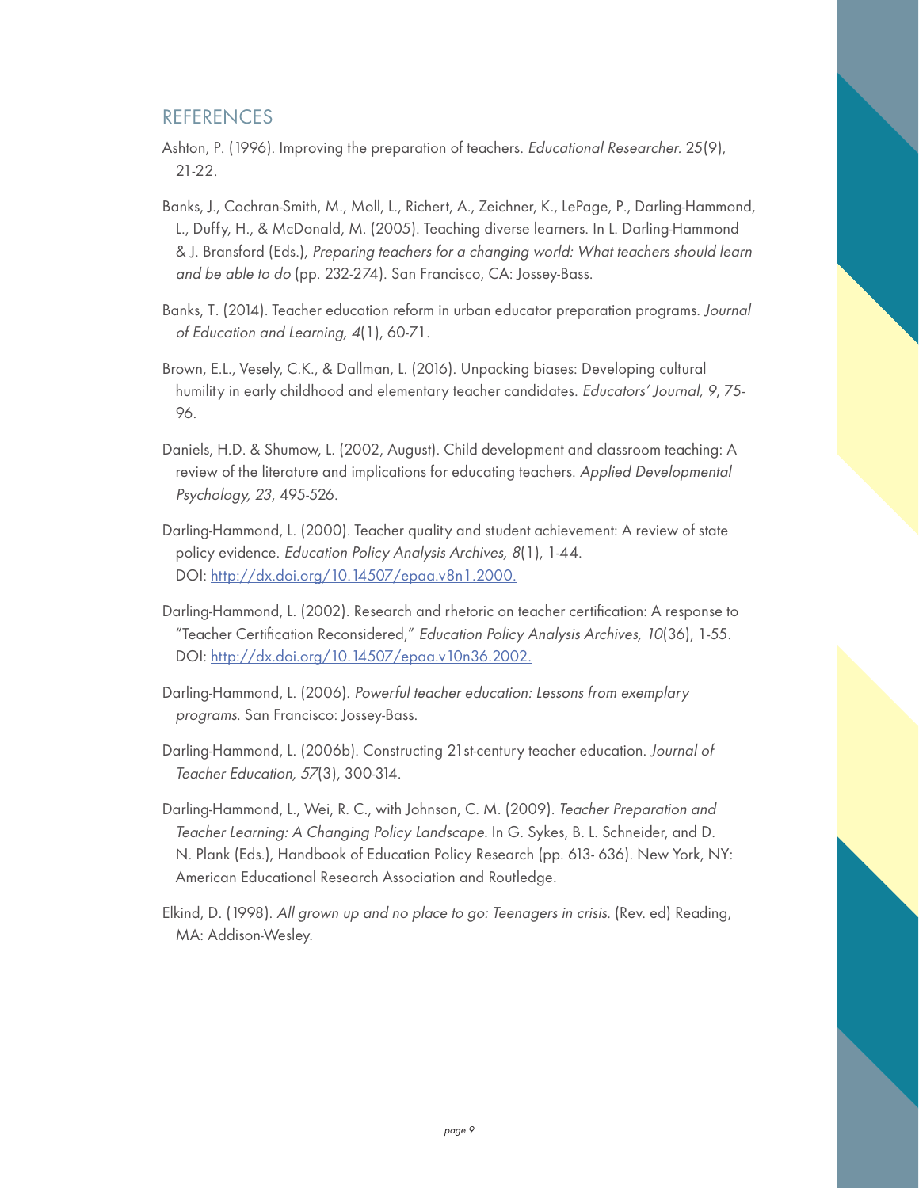#### **REFERENCES**

- Ashton, P. (1996). Improving the preparation of teachers. Educational Researcher. 25(9), 21-22.
- Banks, J., Cochran-Smith, M., Moll, L., Richert, A., Zeichner, K., LePage, P., Darling-Hammond, L., Duffy, H., & McDonald, M. (2005). Teaching diverse learners. In L. Darling-Hammond & J. Bransford (Eds.), Preparing teachers for a changing world: What teachers should learn and be able to do (pp. 232-274). San Francisco, CA: Jossey-Bass.
- Banks, T. (2014). Teacher education reform in urban educator preparation programs. Journal of Education and Learning, 4(1), 60-71.
- Brown, E.L., Vesely, C.K., & Dallman, L. (2016). Unpacking biases: Developing cultural humility in early childhood and elementary teacher candidates. Educators' Journal, 9, 75-96.
- Daniels, H.D. & Shumow, L. (2002, August). Child development and classroom teaching: A review of the literature and implications for educating teachers. Applied Developmental Psychology, 23, 495-526.
- Darling-Hammond, L. (2000). Teacher quality and student achievement: A review of state policy evidence. Education Policy Analysis Archives, 8(1), 1-44. DOI: http://dx.doi.org/10.14507/epaa.v8n1.2000.
- Darling-Hammond, L. (2002). Research and rhetoric on teacher certification: A response to "Teacher Certification Reconsidered," Education Policy Analysis Archives, 10(36), 1-55. DOI: http://dx.doi.org/10.14507/epaa.v10n36.2002.
- Darling-Hammond, L. (2006). Powerful teacher education: Lessons from exemplary programs. San Francisco: Jossey-Bass.
- Darling-Hammond, L. (2006b). Constructing 21st-century teacher education. Journal of Teacher Education, 57(3), 300-314.
- Darling-Hammond, L., Wei, R. C., with Johnson, C. M. (2009). Teacher Preparation and Teacher Learning: A Changing Policy Landscape. In G. Sykes, B. L. Schneider, and D. N. Plank (Eds.), Handbook of Education Policy Research (pp. 613- 636). New York, NY: American Educational Research Association and Routledge.
- Elkind, D. (1998). All grown up and no place to go: Teenagers in crisis. (Rev. ed) Reading, MA: Addison-Wesley.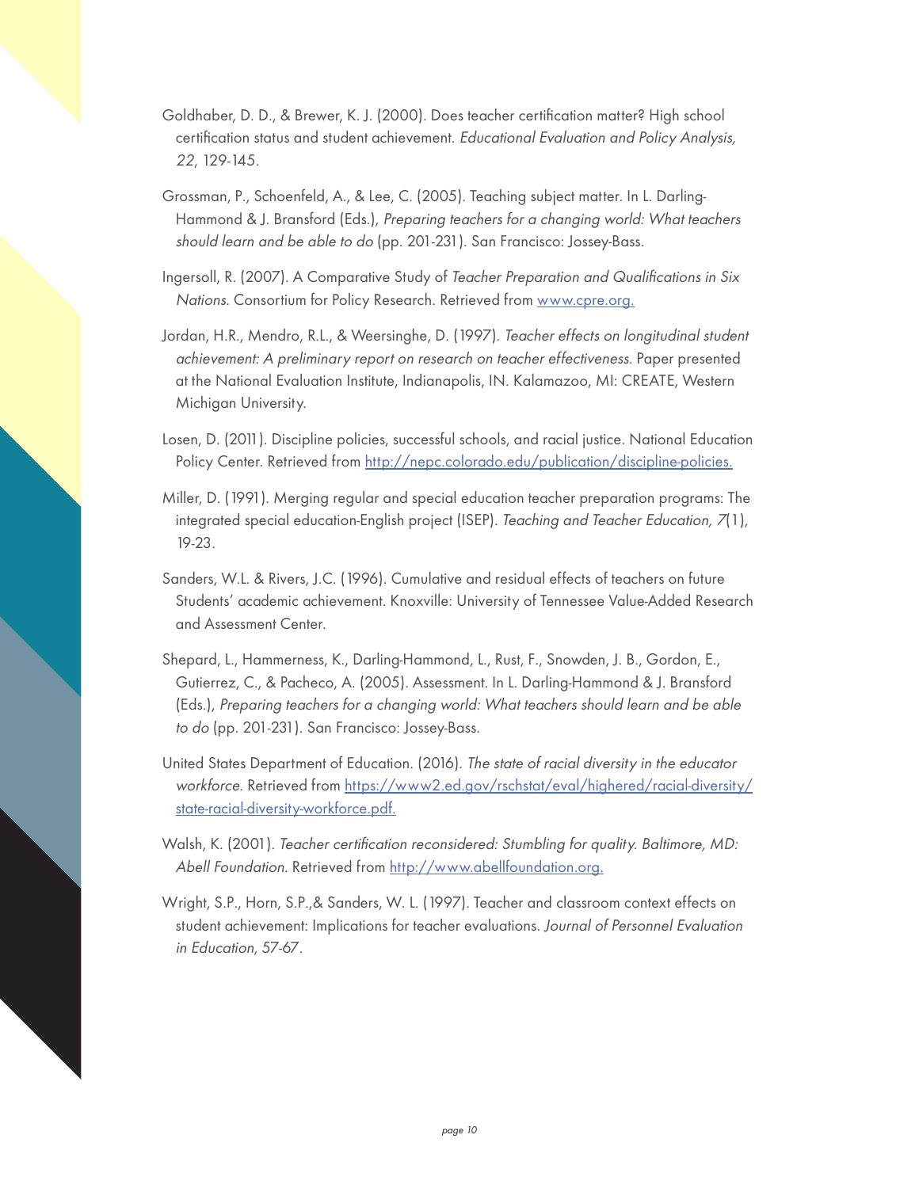- Goldhaber, D. D., & Brewer, K. J. (2000). Does teacher certification matter? High school certification status and student achievement. Educational Evaluation and Policy Analysis, 22, 129-145.
- Grossman, P., Schoenfeld, A., & Lee, C. (2005). Teaching subject matter. In L. Darling-Hammond & J. Bransford (Eds.), Preparing teachers for a changing world: What teachers should learn and be able to do (pp. 201-231). San Francisco: Jossey-Bass.
- Ingersoll, R. (2007). A Comparative Study of Teacher Preparation and Qualifications in Six Nations. Consortium for Policy Research. Retrieved from www.cpre.org.
- Jordan, H.R., Mendro, R.L., & Weersinghe, D. (1997). Teacher effects on longitudinal student achievement: A preliminary report on research on teacher effectiveness. Paper presented at the National Evaluation Institute, Indianapolis, IN. Kalamazoo, MI: CREATE, Western Michigan University.
- Losen, D. (2011). Discipline policies, successful schools, and racial justice. National Education Policy Center. Retrieved from http://nepc.colorado.edu/publication/discipline-policies.
- Miller, D. (1991). Merging regular and special education teacher preparation programs: The integrated special education-English project (ISEP). Teaching and Teacher Education, 7(1), 19-23.
- Sanders, W.L. & Rivers, J.C. (1996). Cumulative and residual effects of teachers on future Students' academic achievement. Knoxville: University of Tennessee Value-Added Research and Assessment Center.
- Shepard, L., Hammerness, K., Darling-Hammond, L., Rust, F., Snowden, J. B., Gordon, E., Gutierrez, C., & Pacheco, A. (2005). Assessment. In L. Darling-Hammond & J. Bransford (Eds.), Preparing teachers for a changing world: What teachers should learn and be able to do (pp. 201-231). San Francisco: Jossey-Bass.
- United States Department of Education. (2016). The state of racial diversity in the educator workforce. Retrieved from https://www2.ed.gov/rschstat/eval/highered/racial-diversity/ state-racial-diversity-workforce.pdf.
- Walsh, K. (2001). Teacher certification reconsidered: Stumbling for quality. Baltimore, MD: Abell Foundation. Retrieved from http://www.abellfoundation.org.
- Wright, S.P., Horn, S.P.,& Sanders, W. L. (1997). Teacher and classroom context effects on student achievement: Implications for teacher evaluations. Journal of Personnel Evaluation in Education, 57-67.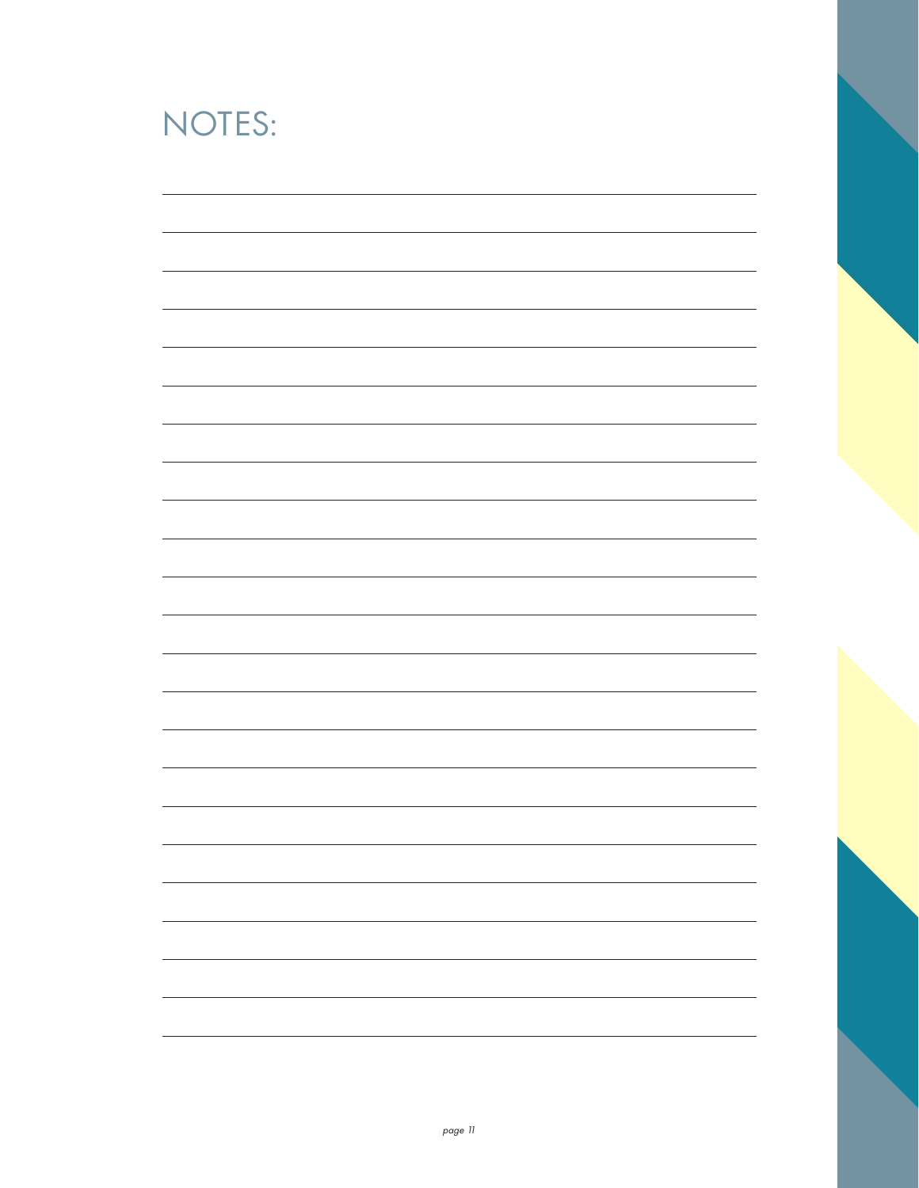| <b>NOTES:</b> |  |
|---------------|--|
|               |  |
|               |  |
|               |  |
|               |  |
|               |  |
|               |  |
|               |  |
|               |  |
|               |  |
|               |  |
|               |  |
|               |  |
|               |  |
|               |  |
|               |  |
|               |  |
|               |  |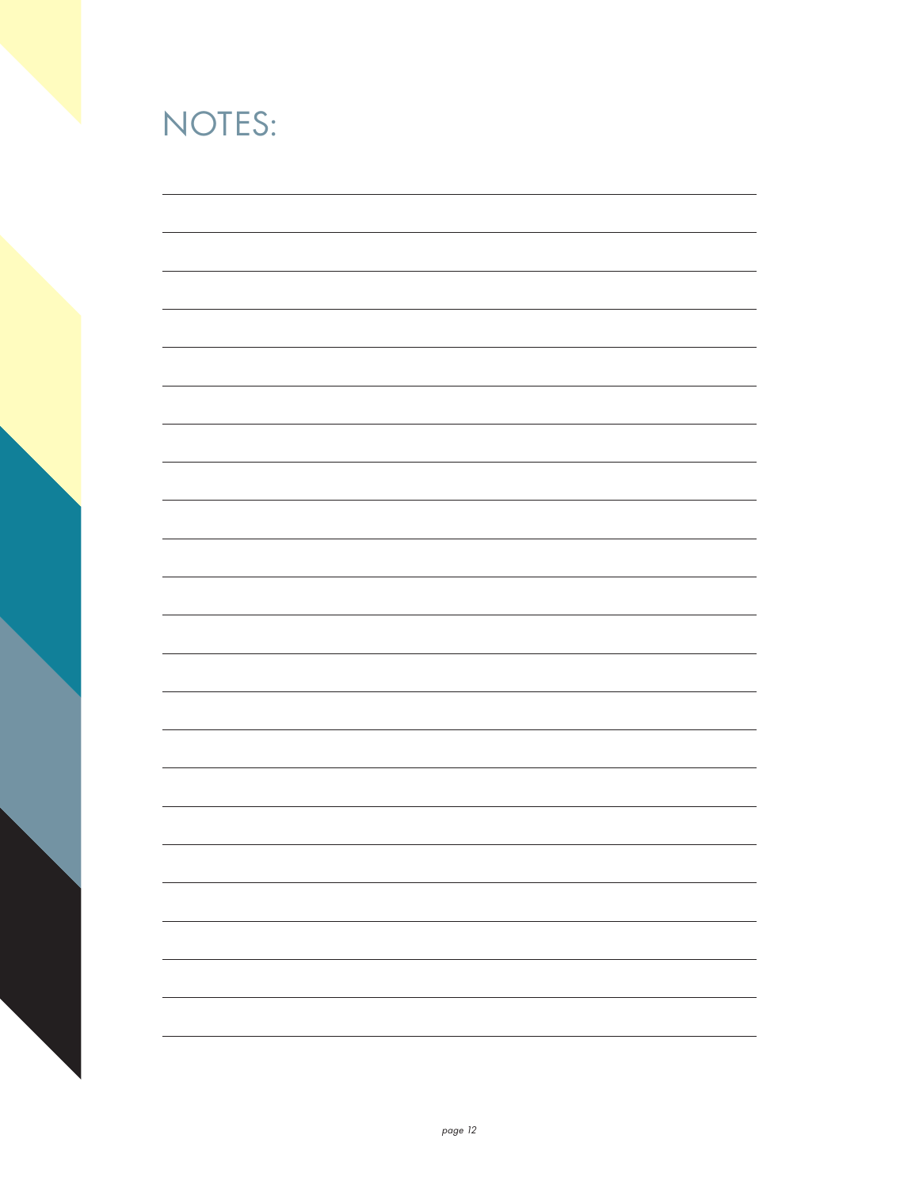| <b>NOTES:</b> |  |  |
|---------------|--|--|
|               |  |  |
|               |  |  |
|               |  |  |
|               |  |  |
|               |  |  |
|               |  |  |
|               |  |  |
|               |  |  |
|               |  |  |
|               |  |  |
|               |  |  |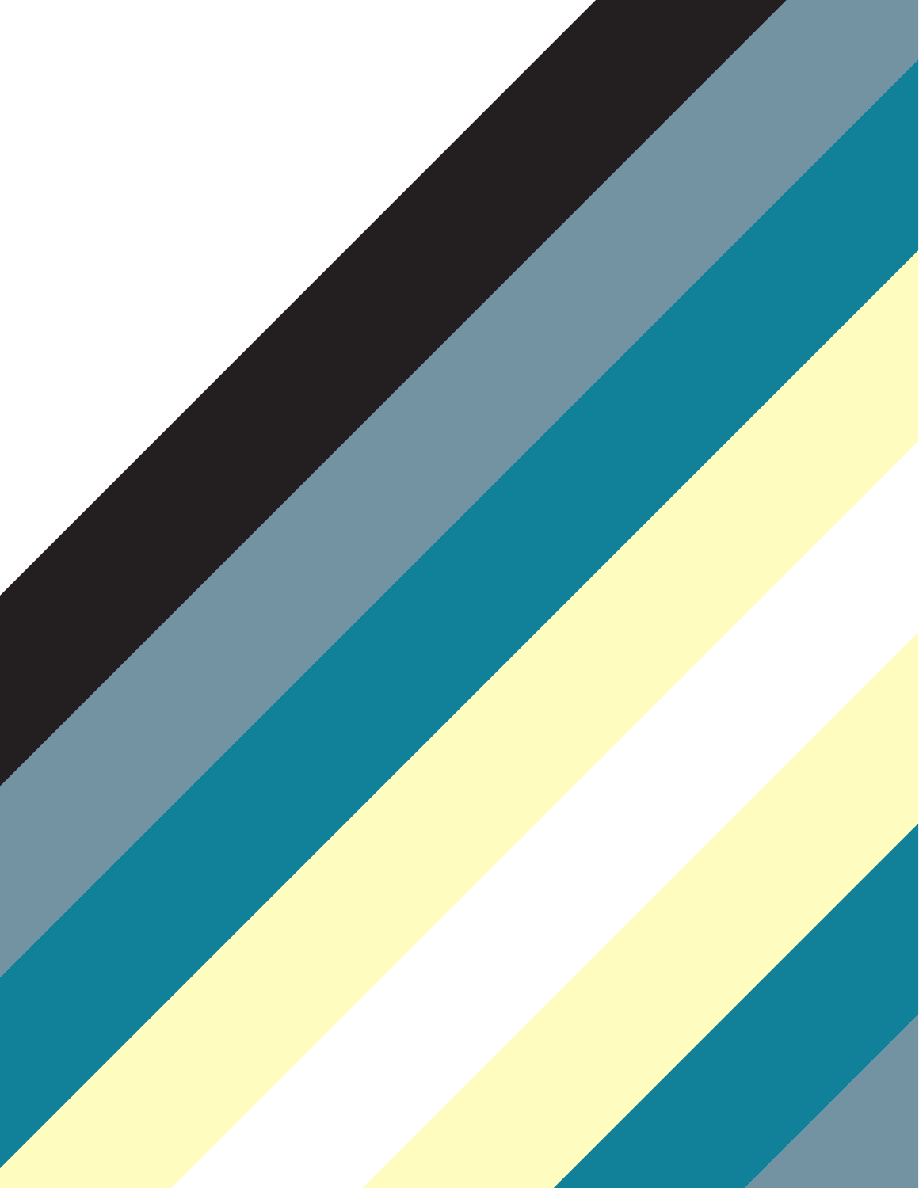